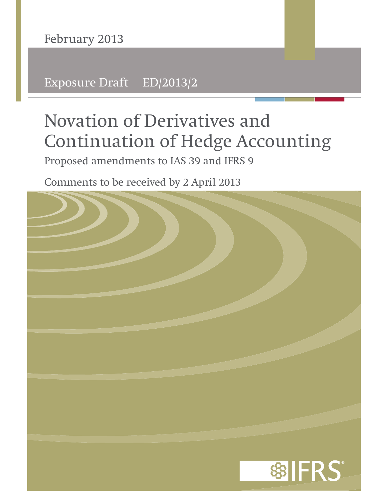**February 2013**

Exposure Draft ED/2013/2

# **Novation of Derivatives and Continuation of Hedge Accounting**

Proposed amendments to IAS 39 and IFRS 9

Comments to be received by 2 April 2013

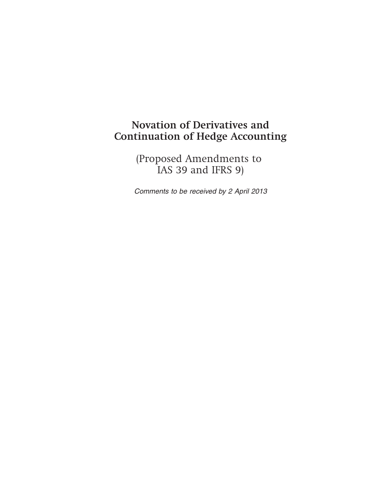# **Novation of Derivatives and Continuation of Hedge Accounting**

(Proposed Amendments to IAS 39 and IFRS 9)

Comments to be received by 2 April 2013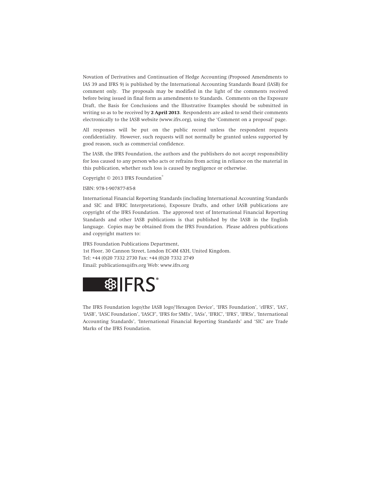Novation of Derivatives and Continuation of Hedge Accounting (Proposed Amendments to IAS 39 and IFRS 9) is published by the International Accounting Standards Board (IASB) for comment only. The proposals may be modified in the light of the comments received before being issued in final form as amendments to Standards. Comments on the Exposure Draft, the Basis for Conclusions and the Illustrative Examples should be submitted in writing so as to be received by **2 April 2013**. Respondents are asked to send their comments electronically to the IASB website (www.ifrs.org), using the 'Comment on a proposal' page.

All responses will be put on the public record unless the respondent requests confidentiality. However, such requests will not normally be granted unless supported by good reason, such as commercial confidence.

The IASB, the IFRS Foundation, the authors and the publishers do not accept responsibility for loss caused to any person who acts or refrains from acting in reliance on the material in this publication, whether such loss is caused by negligence or otherwise.

Copyright © 2013 IFRS Foundation®

ISBN: 978-1-907877-85-8

International Financial Reporting Standards (including International Accounting Standards and SIC and IFRIC Interpretations), Exposure Drafts, and other IASB publications are copyright of the IFRS Foundation. The approved text of International Financial Reporting Standards and other IASB publications is that published by the IASB in the English language. Copies may be obtained from the IFRS Foundation. Please address publications and copyright matters to:

IFRS Foundation Publications Department, 1st Floor, 30 Cannon Street, London EC4M 6XH, United Kingdom. Tel: +44 (0)20 7332 2730 Fax: +44 (0)20 7332 2749 Email: publications@ifrs.org Web: www.ifrs.org



The IFRS Foundation logo/the IASB logo/'Hexagon Device', 'IFRS Foundation', '*e*IFRS', 'IAS', 'IASB', 'IASC Foundation', 'IASCF', 'IFRS for SMEs', 'IASs', 'IFRIC', 'IFRS', 'IFRSs', 'International Accounting Standards', 'International Financial Reporting Standards' and 'SIC' are Trade Marks of the IFRS Foundation.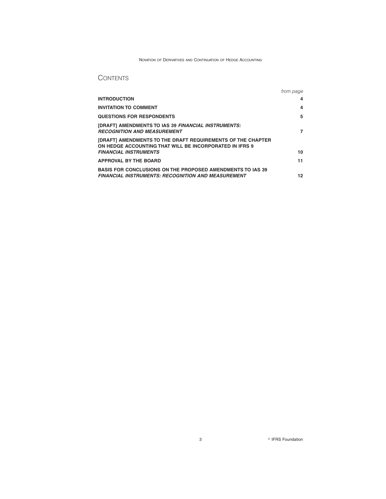### NOVATION OF DERIVATIVES AND CONTINUATION OF HEDGE ACCOUNTING

# **CONTENTS**

|                                                                                                                                | from page |
|--------------------------------------------------------------------------------------------------------------------------------|-----------|
| <b>INTRODUCTION</b>                                                                                                            | 4         |
| <b>INVITATION TO COMMENT</b>                                                                                                   | 4         |
| <b>QUESTIONS FOR RESPONDENTS</b>                                                                                               | 5         |
| [DRAFT] AMENDMENTS TO IAS 39 FINANCIAL INSTRUMENTS:<br><b>RECOGNITION AND MEASUREMENT</b>                                      | 7         |
| [DRAFT] AMENDMENTS TO THE DRAFT REQUIREMENTS OF THE CHAPTER<br>ON HEDGE ACCOUNTING THAT WILL BE INCORPORATED IN IFRS 9         |           |
| <b>FINANCIAL INSTRUMENTS</b>                                                                                                   | 10        |
| <b>APPROVAL BY THE BOARD</b>                                                                                                   | 11        |
| <b>BASIS FOR CONCLUSIONS ON THE PROPOSED AMENDMENTS TO IAS 39</b><br><b>FINANCIAL INSTRUMENTS: RECOGNITION AND MEASUREMENT</b> | 12        |

**3 B** IFRS Foundation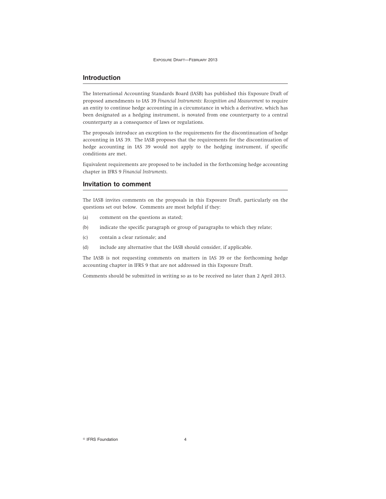# **Introduction**

The International Accounting Standards Board (IASB) has published this Exposure Draft of proposed amendments to IAS 39 *Financial Instruments: Recognition and Measurement* to require an entity to continue hedge accounting in a circumstance in which a derivative, which has been designated as a hedging instrument, is novated from one counterparty to a central counterparty as a consequence of laws or regulations.

The proposals introduce an exception to the requirements for the discontinuation of hedge accounting in IAS 39. The IASB proposes that the requirements for the discontinuation of hedge accounting in IAS 39 would not apply to the hedging instrument, if specific conditions are met.

Equivalent requirements are proposed to be included in the forthcoming hedge accounting chapter in IFRS 9 *Financial Instruments*.

### **Invitation to comment**

The IASB invites comments on the proposals in this Exposure Draft, particularly on the questions set out below. Comments are most helpful if they:

- (a) comment on the questions as stated;
- (b) indicate the specific paragraph or group of paragraphs to which they relate;
- (c) contain a clear rationale; and
- (d) include any alternative that the IASB should consider, if applicable.

The IASB is not requesting comments on matters in IAS 39 or the forthcoming hedge accounting chapter in IFRS 9 that are not addressed in this Exposure Draft.

Comments should be submitted in writing so as to be received no later than 2 April 2013.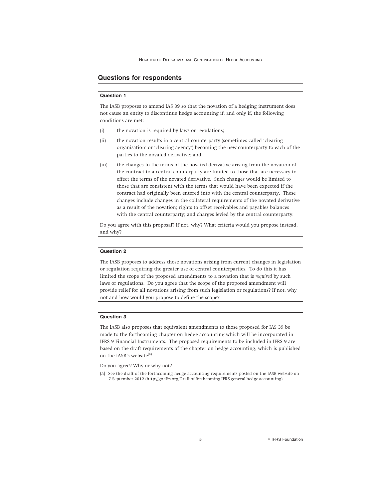# **Questions for respondents**

### **Question 1**

The IASB proposes to amend IAS 39 so that the novation of a hedging instrument does not cause an entity to discontinue hedge accounting if, and only if, the following conditions are met:

- (i) the novation is required by laws or regulations;
- (ii) the novation results in a central counterparty (sometimes called 'clearing organisation' or 'clearing agency') becoming the new counterparty to each of the parties to the novated derivative; and
- (iii) the changes to the terms of the novated derivative arising from the novation of the contract to a central counterparty are limited to those that are necessary to effect the terms of the novated derivative. Such changes would be limited to those that are consistent with the terms that would have been expected if the contract had originally been entered into with the central counterparty. These changes include changes in the collateral requirements of the novated derivative as a result of the novation; rights to offset receivables and payables balances with the central counterparty; and charges levied by the central counterparty.

Do you agree with this proposal? If not, why? What criteria would you propose instead, and why?

### **Question 2**

The IASB proposes to address those novations arising from current changes in legislation or regulation requiring the greater use of central counterparties. To do this it has limited the scope of the proposed amendments to a novation that is *required* by such laws or regulations. Do you agree that the scope of the proposed amendment will provide relief for all novations arising from such legislation or regulations? If not, why not and how would you propose to define the scope?

### **Question 3**

The IASB also proposes that equivalent amendments to those proposed for IAS 39 be made to the forthcoming chapter on hedge accounting which will be incorporated in IFRS 9 Financial Instruments. The proposed requirements to be included in IFRS 9 are based on the draft requirements of the chapter on hedge accounting, which is published on the IASB's website<sup>(a)</sup>

Do you agree? Why or why not?

(a) See the draft of the forthcoming hedge accounting requirements posted on the IASB website on 7 September 2012 (http://go.ifrs.org/Draft-of-forthcoming-IFRS-general-hedge-accounting)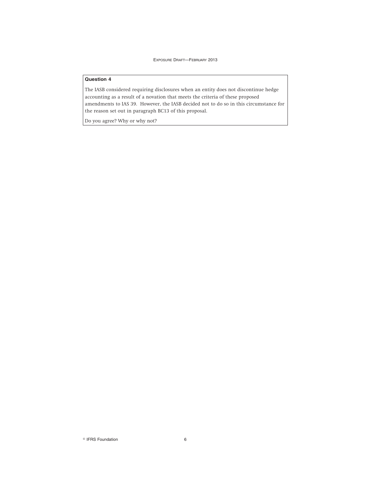### **Question 4**

The IASB considered requiring disclosures when an entity does not discontinue hedge accounting as a result of a novation that meets the criteria of these proposed amendments to IAS 39. However, the IASB decided not to do so in this circumstance for the reason set out in paragraph BC13 of this proposal.

Do you agree? Why or why not?

<sup>©</sup> IFRS Foundation 6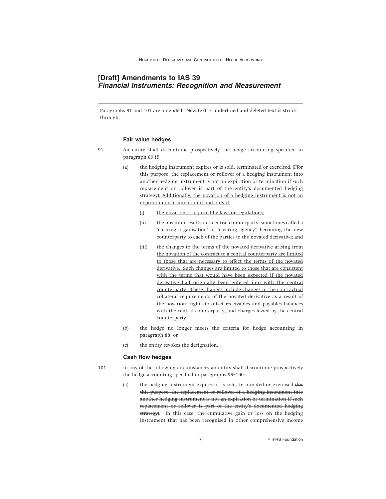# **[Draft] Amendments to IAS 39 Financial Instruments: Recognition and Measurement**

Paragraphs 91 and 101 are amended. New text is underlined and deleted text is struck through.

### **Fair value hedges**

- 91 An entity shall discontinue prospectively the hedge accounting specified in paragraph 89 if:
	- (a) the hedging instrument expires or is sold, terminated or exercised.  $(E$ for this purpose, the replacement or rollover of a hedging instrument into another hedging instrument is not an expiration or termination if such replacement or rollover is part of the entity's documented hedging strategy); Additionally, the novation of a hedging instrument is not an expiration or termination if and only if:
		- (i) the novation is required by laws or regulations;
		- (ii) the novation results in a central counterparty (sometimes called a 'clearing organisation' or 'clearing agency') becoming the new counterparty to each of the parties to the novated derivative; and
		- (iii) the changes to the terms of the novated derivative arising from the novation of the contract to a central counterparty are limited to those that are necessary to effect the terms of the novated derivative. Such changes are limited to those that are consistent with the terms that would have been expected if the novated derivative had originally been entered into with the central counterparty. These changes include changes in the contractual collateral requirements of the novated derivative as a result of the novation; rights to offset receivables and payables balances with the central counterparty; and charges levied by the central counterparty.
	- (b) the hedge no longer meets the criteria for hedge accounting in paragraph 88; or
	- (c) the entity revokes the designation.

#### **Cash flow hedges**

- 101 In any of the following circumstances an entity shall discontinue prospectively the hedge accounting specified in paragraphs 95–100:
	- (a) the hedging instrument expires or is sold, terminated or exercised (for this purpose, the replacement or rollover of a hedging instrument into another hedging instrument is not an expiration or termination if such replacement or rollover is part of the entity's documented hedging strategy). In this case, the cumulative gain or loss on the hedging instrument that has been recognised in other comprehensive income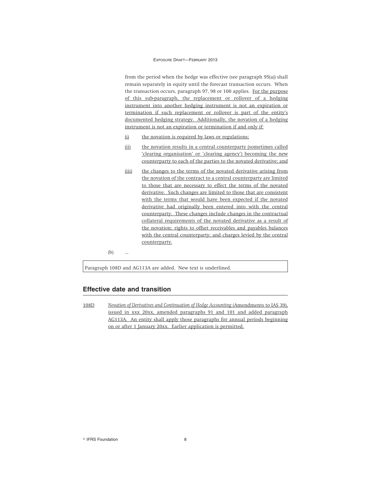#### EXPOSURE DRAFT—FEBRUARY 2013

from the period when the hedge was effective (see paragraph 95(a)) shall remain separately in equity until the forecast transaction occurs. When the transaction occurs, paragraph 97, 98 or 100 applies. For the purpose of this sub-paragraph, the replacement or rollover of a hedging instrument into another hedging instrument is not an expiration or termination if such replacement or rollover is part of the entity's documented hedging strategy. Additionally, the novation of a hedging instrument is not an expiration or termination if and only if:

- (i) the novation is required by laws or regulations;
- (ii) the novation results in a central counterparty (sometimes called 'clearing organisation' or 'clearing agency') becoming the new counterparty to each of the parties to the novated derivative; and
- (iii) the changes to the terms of the novated derivative arising from the novation of the contract to a central counterparty are limited to those that are necessary to effect the terms of the novated derivative. Such changes are limited to those that are consistent with the terms that would have been expected if the novated derivative had originally been entered into with the central counterparty. These changes include changes in the contractual collateral requirements of the novated derivative as a result of the novation; rights to offset receivables and payables balances with the central counterparty; and charges levied by the central counterparty.

 $(b)$ 

Paragraph 108D and AG113A are added. New text is underlined.

### **Effective date and transition**

108D *Novation of Derivatives and Continuation of Hedge Accounting* (Amendments to IAS 39), issued in xxx 20xx, amended paragraphs 91 and 101 and added paragraph AG113A. An entity shall apply those paragraphs for annual periods beginning on or after 1 January 20xx. Earlier application is permitted.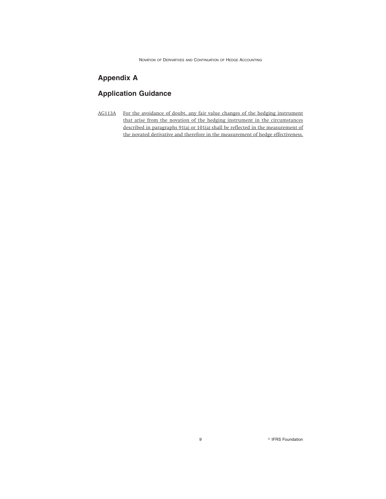NOVATION OF DERIVATIVES AND CONTINUATION OF HEDGE ACCOUNTING

# **Appendix A**

# **Application Guidance**

AG113A For the avoidance of doubt, any fair value changes of the hedging instrument that arise from the novation of the hedging instrument in the circumstances described in paragraphs 91(a) or 101(a) shall be reflected in the measurement of the novated derivative and therefore in the measurement of hedge effectiveness.

9 **PERS Foundation**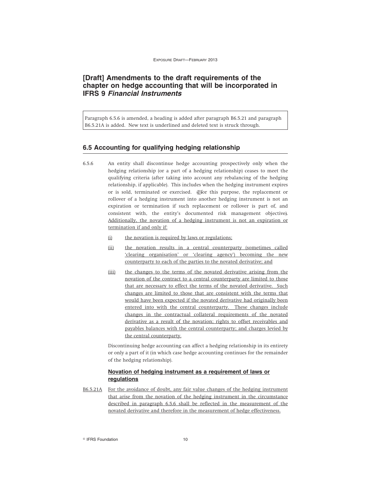# **[Draft] Amendments to the draft requirements of the chapter on hedge accounting that will be incorporated in IFRS 9 Financial Instruments**

Paragraph 6.5.6 is amended, a heading is added after paragraph B6.5.21 and paragraph B6.5.21A is added. New text is underlined and deleted text is struck through.

### **6.5 Accounting for qualifying hedging relationship**

- 6.5.6 An entity shall discontinue hedge accounting prospectively only when the hedging relationship (or a part of a hedging relationship) ceases to meet the qualifying criteria (after taking into account any rebalancing of the hedging relationship, if applicable). This includes when the hedging instrument expires or is sold, terminated or exercised. (Ffor this purpose, the replacement or rollover of a hedging instrument into another hedging instrument is not an expiration or termination if such replacement or rollover is part of, and consistent with, the entity's documented risk management objective). Additionally, the novation of a hedging instrument is not an expiration or termination if and only if:
	- (i) the novation is required by laws or regulations;
	- (ii) the novation results in a central counterparty (sometimes called 'clearing organisation' or 'clearing agency') becoming the new counterparty to each of the parties to the novated derivative; and
	- (iii) the changes to the terms of the novated derivative arising from the novation of the contract to a central counterparty are limited to those that are necessary to effect the terms of the novated derivative. Such changes are limited to those that are consistent with the terms that would have been expected if the novated derivative had originally been entered into with the central counterparty. These changes include changes in the contractual collateral requirements of the novated derivative as a result of the novation; rights to offset receivables and payables balances with the central counterparty; and charges levied by the central counterparty.

Discontinuing hedge accounting can affect a hedging relationship in its entirety or only a part of it (in which case hedge accounting continues for the remainder of the hedging relationship).

### **Novation of hedging instrument as a requirement of laws or regulations**

B6.5.21A For the avoidance of doubt, any fair value changes of the hedging instrument that arise from the novation of the hedging instrument in the circumstance described in paragraph 6.5.6 shall be reflected in the measurement of the novated derivative and therefore in the measurement of hedge effectiveness.

© IFRS Foundation 10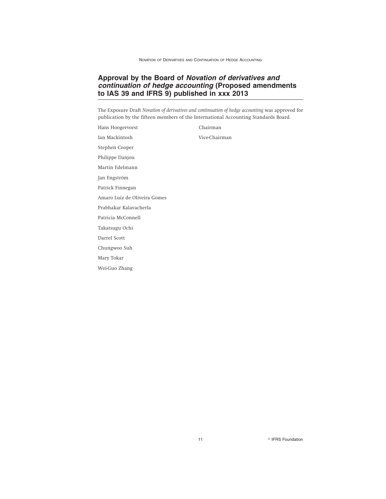# **Approval by the Board of Novation of derivatives and continuation of hedge accounting (Proposed amendments to IAS 39 and IFRS 9) published in xxx 2013**

The Exposure Draft *Novation of derivatives and continuation of hedge accounting* was approved for publication by the fifteen members of the International Accounting Standards Board.

Hans Hoogervorst Chairman Ian Mackintosh Vice-Chairman Stephen Cooper Philippe Danjou Martin Edelmann Jan Engström Patrick Finnegan Amaro Luiz de Oliveira Gomes Prabhakar Kalavacherla Patricia McConnell Takatsugu Ochi Darrel Scott Chungwoo Suh Mary Tokar Wei-Guo Zhang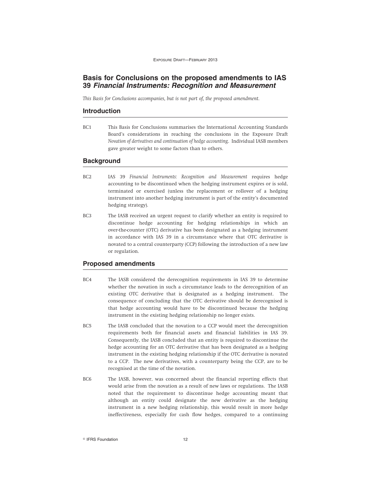# **Basis for Conclusions on the proposed amendments to IAS 39 Financial Instruments: Recognition and Measurement**

*This Basis for Conclusions accompanies, but is not part of, the proposed amendment.*

### **Introduction**

BC1 This Basis for Conclusions summarises the International Accounting Standards Board's considerations in reaching the conclusions in the Exposure Draft *Novation of derivatives and continuation of hedge accounting*. Individual IASB members gave greater weight to some factors than to others.

### **Background**

- BC2 IAS 39 *Financial Instruments: Recognition and Measurement* requires hedge accounting to be discontinued when the hedging instrument expires or is sold, terminated or exercised (unless the replacement or rollover of a hedging instrument into another hedging instrument is part of the entity's documented hedging strategy).
- BC3 The IASB received an urgent request to clarify whether an entity is required to discontinue hedge accounting for hedging relationships in which an over-the-counter (OTC) derivative has been designated as a hedging instrument in accordance with IAS 39 in a circumstance where that OTC derivative is novated to a central counterparty (CCP) following the introduction of a new law or regulation.

### **Proposed amendments**

- BC4 The IASB considered the derecognition requirements in IAS 39 to determine whether the novation in such a circumstance leads to the derecognition of an existing OTC derivative that is designated as a hedging instrument. The consequence of concluding that the OTC derivative should be derecognised is that hedge accounting would have to be discontinued because the hedging instrument in the existing hedging relationship no longer exists.
- BC5 The IASB concluded that the novation to a CCP would meet the derecognition requirements both for financial assets and financial liabilities in IAS 39. Consequently, the IASB concluded that an entity is required to discontinue the hedge accounting for an OTC derivative that has been designated as a hedging instrument in the existing hedging relationship if the OTC derivative is novated to a CCP. The new derivatives, with a counterparty being the CCP, are to be recognised at the time of the novation.
- BC6 The IASB, however, was concerned about the financial reporting effects that would arise from the novation as a result of new laws or regulations. The IASB noted that the requirement to discontinue hedge accounting meant that although an entity could designate the new derivative as the hedging instrument in a new hedging relationship, this would result in more hedge ineffectiveness, especially for cash flow hedges, compared to a continuing

<sup>©</sup> IFRS Foundation 12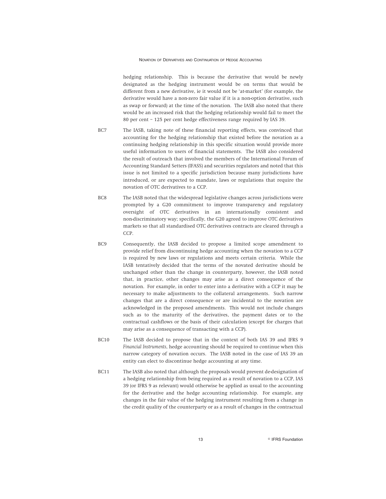hedging relationship. This is because the derivative that would be newly designated as the hedging instrument would be on terms that would be different from a new derivative, ie it would not be 'at-market' (for example, the derivative would have a non-zero fair value if it is a non-option derivative, such as swap or forward) at the time of the novation. The IASB also noted that there would be an increased risk that the hedging relationship would fail to meet the 80 per cent – 125 per cent hedge effectiveness range required by IAS 39.

- BC7 The IASB, taking note of these financial reporting effects, was convinced that accounting for the hedging relationship that existed before the novation as a continuing hedging relationship in this specific situation would provide more useful information to users of financial statements. The IASB also considered the result of outreach that involved the members of the International Forum of Accounting Standard Setters (IFASS) and securities regulators and noted that this issue is not limited to a specific jurisdiction because many jurisdictions have introduced, or are expected to mandate, laws or regulations that require the novation of OTC derivatives to a CCP.
- BC8 The IASB noted that the widespread legislative changes across jurisdictions were prompted by a G20 commitment to improve transparency and regulatory oversight of OTC derivatives in an internationally consistent and non-discriminatory way; specifically, the G20 agreed to improve OTC derivatives markets so that all standardised OTC derivatives contracts are cleared through a CCP.
- BC9 Consequently, the IASB decided to propose a limited scope amendment to provide relief from discontinuing hedge accounting when the novation to a CCP is required by new laws or regulations and meets certain criteria. While the IASB tentatively decided that the terms of the novated derivative should be unchanged other than the change in counterparty, however, the IASB noted that, in practice, other changes may arise as a direct consequence of the novation. For example, in order to enter into a derivative with a CCP it may be necessary to make adjustments to the collateral arrangements. Such narrow changes that are a direct consequence or are incidental to the novation are acknowledged in the proposed amendments. This would not include changes such as to the maturity of the derivatives, the payment dates or to the contractual cashflows or the basis of their calculation (except for charges that may arise as a consequence of transacting with a CCP).
- BC10 The IASB decided to propose that in the context of both IAS 39 and IFRS 9 *Financial Instruments*, hedge accounting should be required to continue when this narrow category of novation occurs. The IASB noted in the case of IAS 39 an entity can elect to discontinue hedge accounting at any time.
- BC11 The IASB also noted that although the proposals would prevent de-designation of a hedging relationship from being required as a result of novation to a CCP, IAS 39 (or IFRS 9 as relevant) would otherwise be applied as usual to the accounting for the derivative and the hedge accounting relationship. For example, any changes in the fair value of the hedging instrument resulting from a change in the credit quality of the counterparty or as a result of changes in the contractual

13 **Participal Strutter Contract Contract Contract Contract Contract Contract Contract Contract Contract Contract Contract Contract Contract Contract Contract Contract Contract Contract Contract Contract Contract Contract**